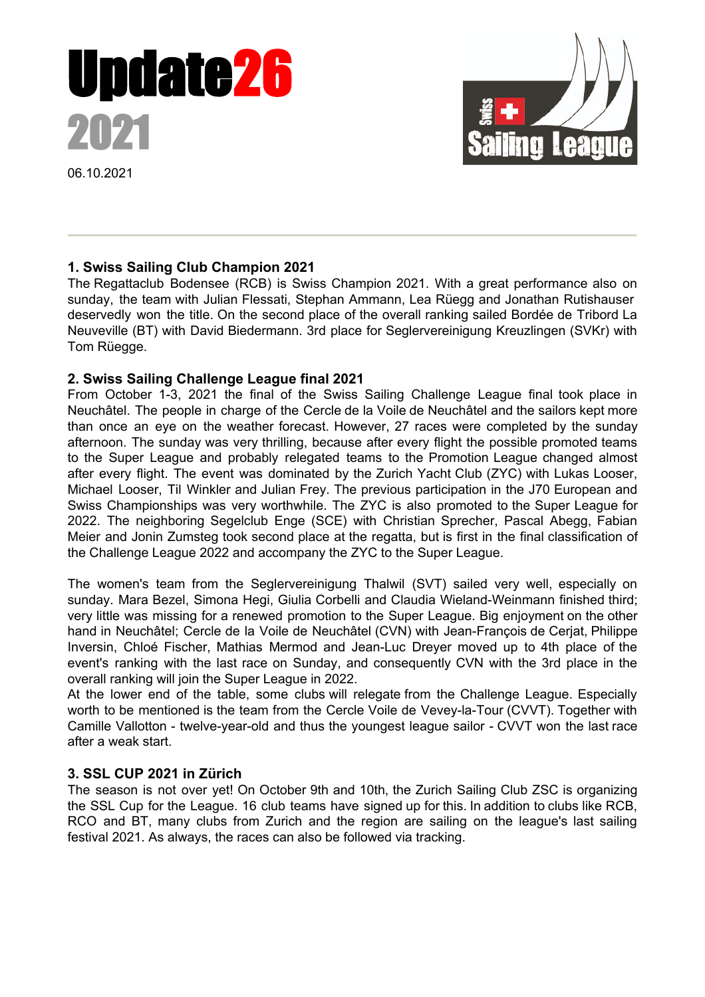

06.10.2021



# **1. Swiss Sailing Club Champion 2021**

The Regattaclub Bodensee (RCB) is Swiss Champion 2021. With a great performance also on sunday, the team with Julian Flessati, Stephan Ammann, Lea Rüegg and Jonathan Rutishauser deservedly won the title. On the second place of the overall ranking sailed Bordée de Tribord La Neuveville (BT) with David Biedermann. 3rd place for Seglervereinigung Kreuzlingen (SVKr) with Tom Rüegge.

### **2. Swiss Sailing Challenge League final 2021**

From October 1-3, 2021 the final of the Swiss Sailing Challenge League final took place in Neuchâtel. The people in charge of the Cercle de la Voile de Neuchâtel and the sailors kept more than once an eye on the weather forecast. However, 27 races were completed by the sunday afternoon. The sunday was very thrilling, because after every flight the possible promoted teams to the Super League and probably relegated teams to the Promotion League changed almost after every flight. The event was dominated by the Zurich Yacht Club (ZYC) with Lukas Looser, Michael Looser, Til Winkler and Julian Frey. The previous participation in the J70 European and Swiss Championships was very worthwhile. The ZYC is also promoted to the Super League for 2022. The neighboring Segelclub Enge (SCE) with Christian Sprecher, Pascal Abegg, Fabian Meier and Jonin Zumsteg took second place at the regatta, but is first in the final classification of the Challenge League 2022 and accompany the ZYC to the Super League.

The women's team from the Seglervereinigung Thalwil (SVT) sailed very well, especially on sunday. Mara Bezel, Simona Hegi, Giulia Corbelli and Claudia Wieland-Weinmann finished third; very little was missing for a renewed promotion to the Super League. Big enjoyment on the other hand in Neuchâtel; Cercle de la Voile de Neuchâtel (CVN) with Jean-François de Cerjat, Philippe Inversin, Chloé Fischer, Mathias Mermod and Jean-Luc Dreyer moved up to 4th place of the event's ranking with the last race on Sunday, and consequently CVN with the 3rd place in the overall ranking will join the Super League in 2022.

At the lower end of the table, some clubs will relegate from the Challenge League. Especially worth to be mentioned is the team from the Cercle Voile de Vevey-la-Tour (CVVT). Together with Camille Vallotton - twelve-year-old and thus the youngest league sailor - CVVT won the last race after a weak start.

### **3. SSL CUP 2021 in Zürich**

The season is not over yet! On October 9th and 10th, the Zurich Sailing Club ZSC is organizing the SSL Cup for the League. 16 club teams have signed up for this. In addition to clubs like RCB, RCO and BT, many clubs from Zurich and the region are sailing on the league's last sailing festival 2021. As always, the races can also be followed via tracking.